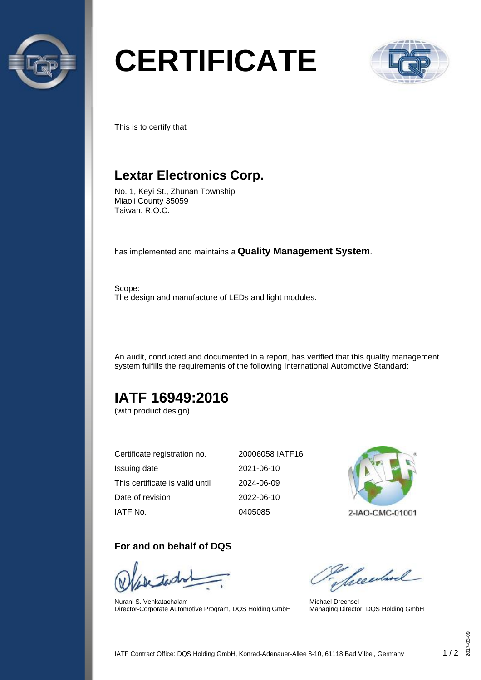

# **CERTIFICATE**



This is to certify that

## **Lextar Electronics Corp.**

No. 1, Keyi St., Zhunan Township Miaoli County 35059 Taiwan, R.O.C.

has implemented and maintains a **Quality Management System**.

Scope: The design and manufacture of LEDs and light modules.

An audit, conducted and documented in a report, has verified that this quality management system fulfills the requirements of the following International Automotive Standard:

# **IATF 16949:2016**

(with product design)

| Certificate registration no.    | 20006058 IATF16 |
|---------------------------------|-----------------|
| Issuing date                    | 2021-06-10      |
| This certificate is valid until | 2024-06-09      |
| Date of revision                | 2022-06-10      |
| IATF No.                        | 0405085         |

## **For and on behalf of DQS**

Nurani S. Venkatachalam Director-Corporate Automotive Program, DQS Holding GmbH



2-IAO-QMC-01001

Sheedrel

Michael Drechsel Managing Director, DQS Holding GmbH